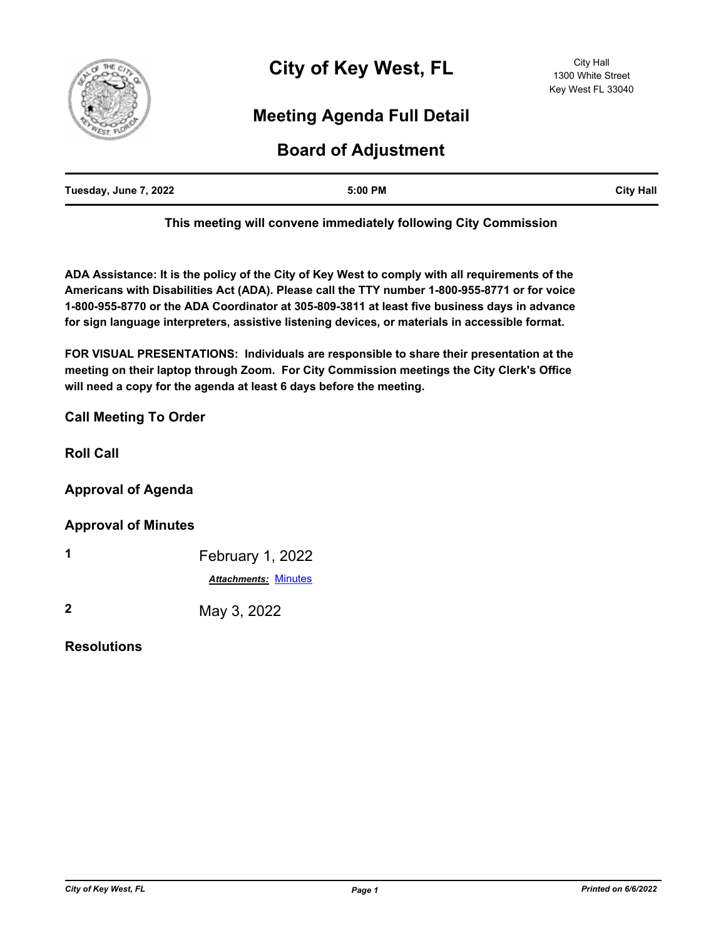

# **Meeting Agenda Full Detail**

## **Board of Adjustment**

| Tuesday, June 7, 2022 | 5:00 PM | <b>City Hall</b> |
|-----------------------|---------|------------------|
|                       |         |                  |

**This meeting will convene immediately following City Commission**

**ADA Assistance: It is the policy of the City of Key West to comply with all requirements of the Americans with Disabilities Act (ADA). Please call the TTY number 1-800-955-8771 or for voice 1-800-955-8770 or the ADA Coordinator at 305-809-3811 at least five business days in advance for sign language interpreters, assistive listening devices, or materials in accessible format.**

**FOR VISUAL PRESENTATIONS: Individuals are responsible to share their presentation at the meeting on their laptop through Zoom. For City Commission meetings the City Clerk's Office will need a copy for the agenda at least 6 days before the meeting.**

### **Call Meeting To Order**

**Roll Call**

#### **Approval of Agenda**

#### **Approval of Minutes**

| 1           | February 1, 2022            |
|-------------|-----------------------------|
|             | <b>Attachments: Minutes</b> |
| $\mathbf 2$ | May 3, 2022                 |

#### **Resolutions**